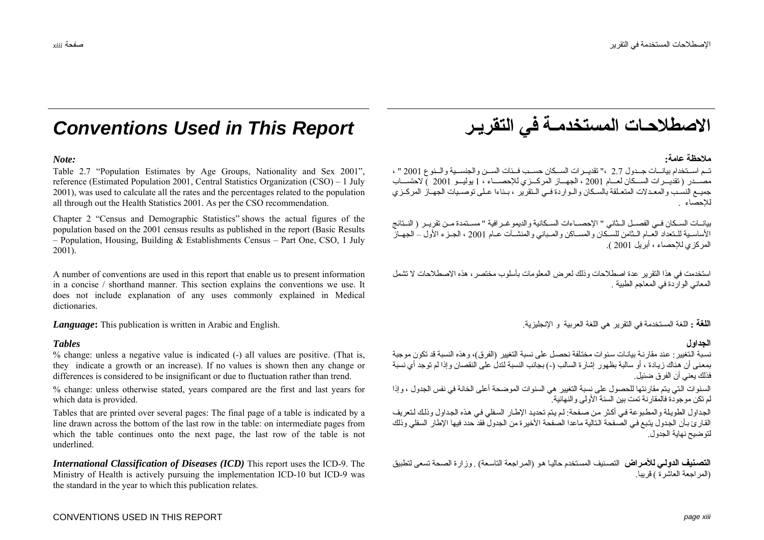# **Conventions Used in This Report**

### Note:

Table 2.7 "Population Estimates by Age Groups, Nationality and Sex 2001", reference (Estimated Population 2001, Central Statistics Organization (CSO) – 1 July 2001), was used to calculate all the rates and the percentages related to the population all through out the Health Statistics 2001. As per the CSO recommendation.

Chapter 2 "Census and Demographic Statistics" shows the actual figures of the population based on the 2001 census results as published in the report (Basic Results - Population, Housing, Building & Establishments Census - Part One, CSO, 1 July  $2001$ ).

A number of conventions are used in this report that enable us to present information in a concise / shorthand manner. This section explains the conventions we use. It does not include explanation of any uses commonly explained in Medical dictionaries

**Language:** This publication is written in Arabic and English.

### **Tables**

% change: unless a negative value is indicated (-) all values are positive. (That is, they indicate a growth or an increase). If no values is shown then any change or differences is considered to be insignificant or due to fluctuation rather than trend.

% change: unless otherwise stated, years compared are the first and last years for which data is provided.

Tables that are printed over several pages: The final page of a table is indicated by a line drawn across the bottom of the last row in the table: on intermediate pages from which the table continues onto the next page, the last row of the table is not underlined

**International Classification of Diseases (ICD)** This report uses the ICD-9. The Ministry of Health is actively pursuing the implementation ICD-10 but ICD-9 was the standard in the year to which this publication relates.

الاصطلاحات المستخدمـة فى التقريـر

### ملاحظة عامة·

تـم اسـتخدام بيانــات جــدول 2.7 ،" تقديــرات الســكان حسـب فــئات الســن والجنســية والــنوع 2001 " ، جميع النسب و المعبدلات المتعبلقة بالسكان والبوار دة في البنقرير ع بيناءا عبلي توصيبات الجهياز المركيز ي للاحصاء

بيانــات الســكان فــي الفصــل الــثاني " الإحصــاءات السـكانية والديمو غــر افية " مســتمدة مــن تقريــر ( النــتائج<br>الأساســية للـتعداد العــام الـثامن للسـكان والمســاكن والمـباني والمنشــآت عــام 2001 ، الجـزء الأول ـ المركزي للاحصاء ، أبريل 2001 )

استخدمت في هذا النقر ير عدة اصطلاحات وذلك لعرض المعلومات بأسلوب مختصر ، هذه الاصطلاحات لا تشمل المعاني الو ار دة في المعاجم الطبية

ا**للغة :** اللغة المستخدمة في التقرير هي اللغة العربية و الإنجليزية.

### الجداو ل

نسبة التغيير : عند مقارنة بيانات سنوات مختلفة نحصل على نسبة التغيير (الفرق)، وهذه النسبة قد تكون موجبة بمعنى أن هناك زيادة ، أو سالبة بظهور إشارة السالب (-) بجانب النسبة لندلُ على النقصان وإذا لم توجد أي نسبة فذلك يعني أن الفرق ضئيل.

السنوات التي يتم مقارنتها للحصول على نسبة التغيير هي السنوات الموضحة أعلى الخانة في نفس الجدول ، وإذا الم نكن موجودة فالمقار نة نمت بين السنة الأولى والنهائية "

الجداول الطويلة و المطبو عة في أكثر من صفحة: لم يتم تحديد الإطار السفلي في هذه الجداول و ذلك لتعر يف القار يَ بأن الجدول بتيع في الصَّفحة التالية ماعدا الصفحة الأخير ة من الجدول فقد حدد فيها الأطار السفلي وذلك لتو ضيح نهاية الجدو ل

ا**لتصنيف الدولي للأمر اض** التصنيف المستخدم حاليا هو (المر اجعة التاسعة) , وزار ة الصحة تسعى لتطبيق (المر اجعة العاشر ةَ ) قريباً.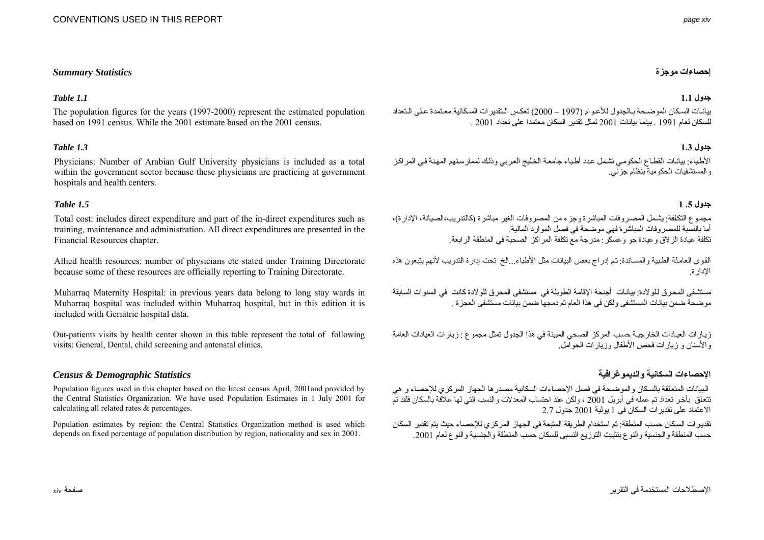### CONVENTIONS USED IN THIS REPORT

### **إحصاءات موجزة** *Statistics Summary*

### **جدول 1.1** *1.1 Table*

The population figures for the years (1997-2000) represent the estimated population based on 1991 census. While the 2001 estimate based on the 2001 census.

### **جدول 1.3** *1.3 Table*

Physicians: Number of Arabian Gulf University physicians is included as a total within the government sector because these physicians are practicing at government hospitals and health centers.

### **جدول .5 1** *1.5 Table*

Total cost: includes direct expenditure and part of the in-direct expenditures such as training, maintenance and administration. All direct expenditures are presented in the Financial Resources chapter.

Allied health resources: number of physicians etc stated under Training Directorate because some of these resources are officially reporting to Training Directorate.

Muharraq Maternity Hospital: in previous years data belong to long stay wards in Muharraq hospital was included within Muharraq hospital, but in this edition it is included with Geriatric hospital data.

Out-patients visits by health center shown in this table represent the total of following visits: General, Dental, child screening and antenatal clinics.

### **الإحصاءات السكانية والديموغرافية** *Statistics Demographic & Census*

Population figures used in this chapter based on the latest census April, 2001and provided by the Central Statistics Organization. We have used Population Estimates in 1 July 2001 for calculating all related rates & percentages.

Population estimates by region: the Central Statistics Organization method is used which depends on fixed percentage of population distribution by region, nationality and sex in 2001.

بيانات السكان الموضحة بالجدول للأعوام (1997 – 2000) تعكس النقدير ات السكانية معتمدة على التعداد للسكان لعام <sup>1</sup>991 . بينما بيانات <sup>200</sup><sup>1</sup> تمثل تقدير السكان معتمداَ على تعداد <sup>200</sup>1 .

الأطباء: بيانات القطاع الحكومي تشمل عدد أطباء جامعة الخليج العربي وذلك لممار ستهم المهنة في المر اكز والمستشفيات الحكومية بنظام جزئي.

مجموع التكلفة: يشمل المصروفات المباشرة وجزء من المصروفات الغير مباشرة (كالتدريب،الصيانة، الإدارة)، أما بالنسبة للمصروفات المباشرة فهي موضحة في فصل الموارد المالية. تكلفة عيادة الزلاق وعيادة جو وعسكر: مدرجة مع تكلفة المراآز الصحية في المنطقة الرابعة.

القوى العاملة الطبية والمساندة: تم إدراج بعض البيانات مثل الأطباء...الخ تحت إدار ة التدريب لأنهم يتبعون هذه الإدارة.

مستشفى المحر ق للو لادة: بيانات أجنحة الإقامة الطويلة في مستشفى المحر ق للو لادة كانت في السنو ات السابقة موضحة ضمن بيانات المستشفى ولكن في هذا العام تم دمجها ضمن بيانات مستشفى العجزة .

زيارات العيادات الخارجية حسب المركز الصحي المبينة في هذا الجدول تمثل مجموع : زيارات العيادات العامة والأسنان <sup>و</sup> زيارات فحص الأطفال وزيارات الحوامل.

البيانات المتعلقة بالسكان والموضحة في فصل الإحصاءات السكانية مصدرها الجهاز المركزي للإحصاء و هي تتعلق بآخر تعداد تم عمله في أبريل 2001 ، ولكن عند احتساب المعدلات والنسب التي لها علاقة بالسكان فلقد تم الاعتماد على تقديرات السكان في <sup>1</sup> يولية <sup>200</sup><sup>1</sup> جدول 2.7

تقديرات السكان حسب المنطقة: تم استخدام الطريقة المتبعة في الجهاز المركزي للإحصاء حيث يتم تقدير السكان حسب المنطقة والجنسية والنوع بتثبيت التوزيع النسبي للسكان حسب المنطقة والجنسية والنوع لعام .200<sup>1</sup>

الإصطلاحات المستخدمة في التقرير صفحة *xiv*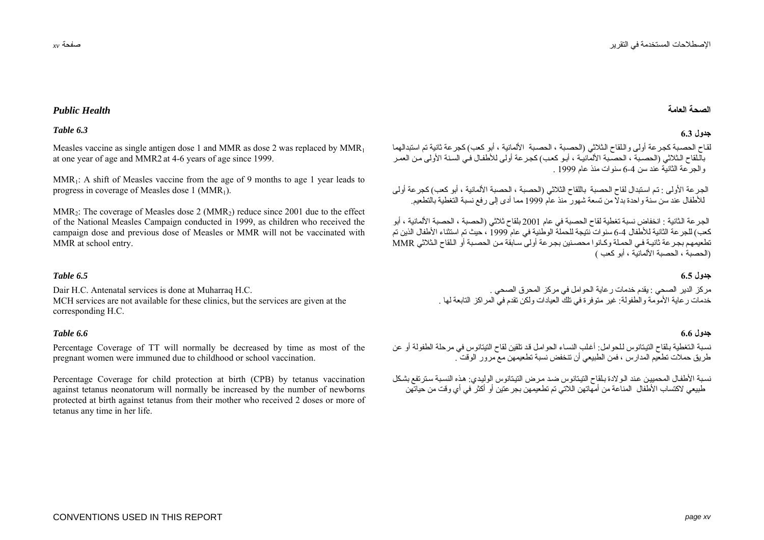### **الصحة**

لقاح الحصبية كجر عة أولى واللقاح الثلاثي (الحصية ، الحصية الألمانية ، أبو كعب) كجر عة ثانية تم استبدالهما باللقاح الثلاثي (الحصبة ، الحصبة الألمانية ، أبو كعب) كجرعة أولى للأطفال في السنة الأولى من العمر والجرعة الثانية عند سن 6-4 سنوات منذ عام <sup>1</sup>999 .

الجرعة الأولى : تم استبدال لقاح الحصبة باللقاح الثلاثي (الحصبة ، الحصبة الألمانية ، أبو كعب) كجرعة أولى للأطفال عند سن سنة واحدة بدلاً من تسعة شهور منذ عام <sup>1</sup><sup>999</sup> مما أدى إلى رفع نسبة التغطية بالتطعيم.

الجرعة الثانية : انخفاض نسبة تغطية لقاح الحصبة في عام 2001 بلقاح ثلاثي (الحصبة ، الحصبة الألمانية ، أبو آعب) للجرعة الثانية للأطفال 6-4 سنوات نتيجة للحملة الوطنية في عام <sup>1</sup><sup>999</sup> ، حيث تم استثناء الأطفال الذين تم تطعيمهم بجر عة ثانية في الحملة وكانوا محصنين بجر عة أولى سابقة من الحصية أو اللقاح الثلاثي MMR (الحصبة ، الحصبة الألمانية ، أبو كعب )

مركز الدير الصحي : يقدم خدمات رعاية الحوامل في مركز المحرق الصحي . خدمات ر عاية الأمومة والطفولة: غير متوفرة في تلك العيادات ولكن تقدم في المراكز التابعة لها .

نسبة التغطية بلقاح التيتانوس للحوامل: أغلب النساء الحوامل قد تلقين لقاح التيتانوس في مرحلة الطفولة أو عن طريق حملات تطعيم المدارس ، فمن الطبيعي أن تنخفض نسبة تطعيمهن مع مرور الوقت .

نسبة الأطفال المحميين عند الولادة بلقاح التيتانوس ضد مرض التيتانوس الوليدي: هذه النسبة سترتفع بشكل طبيعي لاآتساب الأطفال المناعة من أمهاتهن اللاتي تم تطعيمهن بجرعتين أو أآثر في أي وقت من حياتهن

# **العامة** *Health Public*

### **جدول 6.3** *6.3 Table*

Measles vaccine as single antigen dose 1 and MMR as dose 2 was replaced by  $MMR_1$ at one year of age and MMR2 at 4-6 years of age since 1999.

MMR<sub>1</sub>: A shift of Measles vaccine from the age of 9 months to age 1 year leads to progress in coverage of Measles dose  $1 \,(MMR_1)$ .

MMR<sub>2</sub>: The coverage of Measles dose 2 (MMR<sub>2</sub>) reduce since 2001 due to the effect of the National Measles Campaign conducted in 1999, as children who received the campaign dose and previous dose of Measles or MMR will not be vaccinated with MMR at school entry.

### **جدول 6.5** *6.5 Table*

Dair H.C. Antenatal services is done at Muharraq H.C. MCH services are not available for these clinics, but the services are given at the corresponding H.C.

### **جدول 6.6** *6.6 Table*

Percentage Coverage of TT will normally be decreased by time as most of the pregnant women were immuned due to childhood or school vaccination.

Percentage Coverage for child protection at birth (CPB) by tetanus vaccination against tetanus neonatorum will normally be increased by the number of newborns protected at birth against tetanus from their mother who received 2 doses or more of tetanus any time in her life.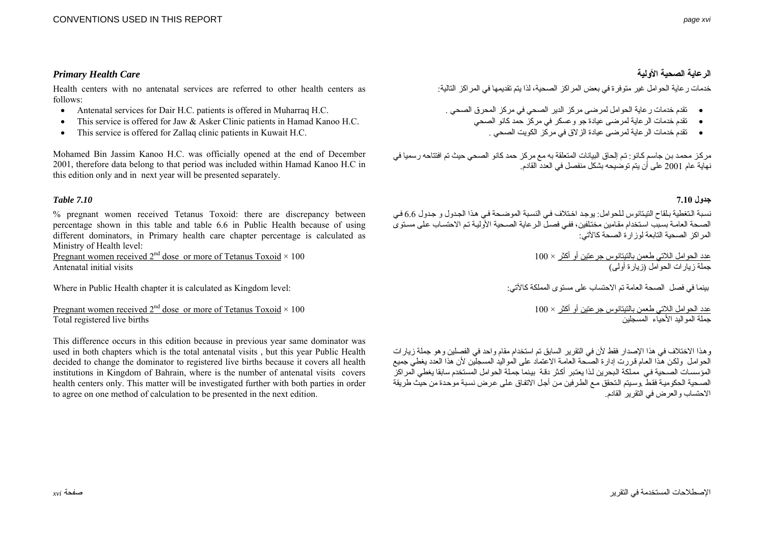# **الرعاية الصحية الأولية** *Care Health Primary*

Health centers with no antenatal services are referred to other health centers as follows:

- Antenatal services for Dair H.C. patients is offered in Muharraq H.C.
- This service is offered for Jaw & Asker Clinic patients in Hamad Kanoo H.C.
- This service is offered for Zallaq clinic patients in Kuwait H.C.

Mohamed Bin Jassim Kanoo H.C. was officially opened at the end of December 2001, therefore data belong to that period was included within Hamad Kanoo H.C in this edition only and in next year will be presented separately.

### **جدول 7.10** *7.10 Table*

% pregnant women received Tetanus Toxoid: there are discrepancy between percentage shown in this table and table 6.6 in Public Health because of using different dominators, in Primary health care chapter percentage is calculated as Ministry of Health level:

Pregnant women received  $2^{nd}$  dose or more of Tetanus Toxoid  $\times$  100 Antenatal initial visits

Where in Public Health chapter it is calculated as Kingdom level:

Pregnant women received  $2<sup>nd</sup>$  dose or more of Tetanus Toxoid  $\times$  100 Total registered live births

This difference occurs in this edition because in previous year same dominator was used in both chapters which is the total antenatal visits , but this year Public Health decided to change the dominator to registered live births because it covers all health institutions in Kingdom of Bahrain, where is the number of antenatal visits covers health centers only. This matter will be investigated further with both parties in order to agree on one method of calculation to be presented in the next edition.

خدمات ر عاية الحو امل غير متوفر ة في بعض المر اكز الصحية، لذا يتم تقديمها في المر اكز التالية:

- تقدم خدمات رعاية الحوامل لمرضى مرآز الدير الصحي في مرآز المحرق الصحي .
	- تقدم خدمات الرعاية لمرضى عيادة جو وعسكر في مرآز حمد آانو الصحي
		- تقدم خدمات الرعاية لمرضى عيادة الزلاق في مرآز الكويت الصحي .

مركز محمد بن جاسم كـانو : تم إلحاق البيانات المتعلقة به مع مركز حمد كانو الصحي حيث تم افتتاحه رسميا في نهاية عام <sup>200</sup><sup>1</sup> على أن يتم توضيحه بشكل منفصل في العدد القادم.

نسبة التغطية بلقاح التيتانوس للحوامل: يوجد اختلاف في النسبة الموضحة في هذا الجدول و جدول 6.6 في الصحة العامة بسبب استخدام مقامين مختلفين، ففي فصل الرعاية الصحية الأولية تم الاحتساب على مستوى المراكز الصحية التابعة لوزارة الصحة كالآتي:

> عدد الحوامل اللاتي طعمن بالتيتانوس جرعتين أو أآثر × 1<sup>00</sup> جملة زيارات الحوامل (زيارة أولى)

بينما في فصل الصحة العامة تم الاحتساب على مستوى المملكة آالآتي:

عدد الحوامل اللاتي طعمن بالتيتانوس جرعتين أو أآثر × 1<sup>00</sup> جملة المواليد الأحياء المسجلين

وهذا الاختلاف في هذا الإصدار فقط لأن في التقرير السابق تم استخدام مقام واحد في الفصلين وهو جملة زيار ات .<br>الحوامل ولكن هذا العام قررت إدارة الصحة العامة الاعتماد على المواليد المسجلين لأن هذا العدد يغطي جميع المؤسسات الصـحية في مملكة البحرين لذا يعتبر أكثر دقة بينما جملة الحوامل المستخدم سابقاً يغطي المراكز الصحية الحكومية فقط .وسيتم التحقق مع الطرفين من أجل الاتفاق على عرض نسبة موحدة من حيث طريقة الاحتساب والعرض في التقرير القادم.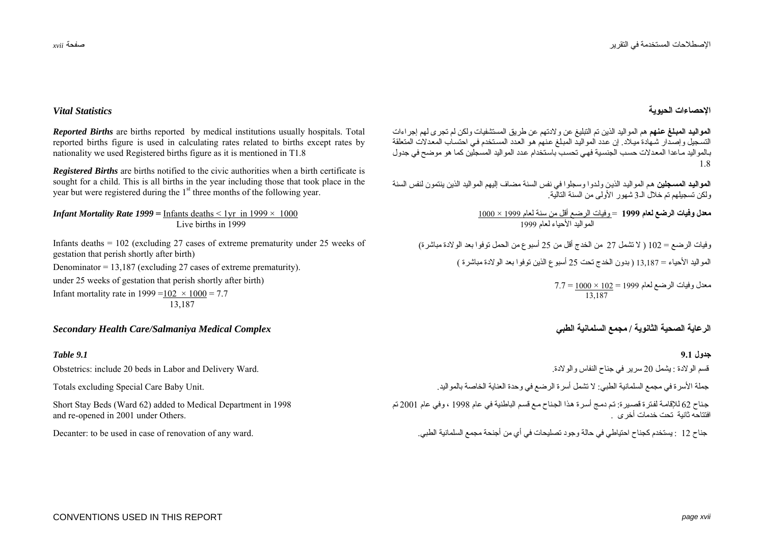### **الإحصاءات الحيوية** *Statistics Vital*

**الموالي?د المب?لغ ع?نهم** هم المواليد الذين تم التبليغ عن ولادتهم عن طريق المستشفيات ولكن لم تجرى لهم إجراءات التسجيل وإصدار شهادة ميلاد. إن عدد المواليد المبلغ عنهم هو العدد المستخدم في احتساب المعدلات المتعلقة ببالمو اليد مـاعدا المعدلات حسب الجنسية فهي تحسب باستخدام عدد المو اليد المسجلين كما هو موضح في جدول 1.8

<mark>المواليد المسجلين</mark> هم المواليد الذين ولدوا وسجلوا في نفس السنة مضاف إليهم المواليد الذين ينتمون لنفس السنة ولكن تسجيلهم تم خلال الـ<sup>3</sup> شهور الأولى من السنة التالية.

> **معدل وفيات الرضع لعام <sup>1</sup>999**<sup>=</sup> وفيات الرضع أقل من سنة لعام <sup>1</sup><sup>999</sup> <sup>×</sup>1<sup>000</sup> المواليد الأحياء لعام <sup>1</sup><sup>999</sup>

وفيات الرضع <sup>=</sup>1<sup>02</sup> ( لا تشمل <sup>27</sup> من الخدج أقل من <sup>25</sup> أسبوع من الحمل توفوا بعد الولادة مباشرة) المواليد الأحياء <sup>=</sup>13,1<sup>87</sup> ( بدون الخدج تحت <sup>25</sup> أسبوع الذين توفوا بعد الولادة مباشرة )

> معدل وفيات الرضع لعام <sup>1</sup><sup>999</sup> <sup>=</sup>1<sup>02</sup> <sup>×</sup>1<sup>000</sup> = 7.7 13,187

**جدول 9.1** *9.1 Table* قسم الولادة : يشمل <sup>20</sup> سرير في جناح النفاس والولادة. جملة الأسرة في مجمع السلمانية الطبي: لا تشمل أسرة الرضع في وحدة العناية الخاصة بالمواليد. جناح 62 للإقامة لفترة قصبرة: تم دمج أسرة هذا الجناح مع قسم الباطنية في عام 1998 ، وفي عام 2001 تم افتتاحه ثانية تحت خدمات أخرى .

جناح 12 : يستخدم كجناح احتياطي في حالة وجود تصليحات في أي من أجنحة مجمع السلمانية الطبي.

*Reported Births* are births reported by medical institutions usually hospitals. Total reported births figure is used in calculating rates related to births except rates by nationality we used Registered births figure as it is mentioned in T1.8

*Registered Births* are births notified to the civic authorities when a birth certificate is sought for a child. This is all births in the year including those that took place in the year but were registered during the 1<sup>st</sup> three months of the following year.

*Infant Mortality Rate 1999* = Infants deaths  $\leq 1$ yr in 1999  $\times$  1000 Live births in 1999

Infants deaths = 102 (excluding 27 cases of extreme prematurity under 25 weeks of gestation that perish shortly after birth) Denominator = 13,187 (excluding 27 cases of extreme prematurity). under 25 weeks of gestation that perish shortly after birth) Infant mortality rate in  $1999 = 102 \times 1000 = 7.7$ 13,187

# **الرعاية الصحية الثانوية / مجمع السلمانية الطبي** *Complex Medical Salmaniya/Care Health Secondary*

Obstetrics: include 20 beds in Labor and Delivery Ward.

Totals excluding Special Care Baby Unit.

Short Stay Beds (Ward 62) added to Medical Department in 1998 and re-opened in 2001 under Others.

Decanter: to be used in case of renovation of any ward.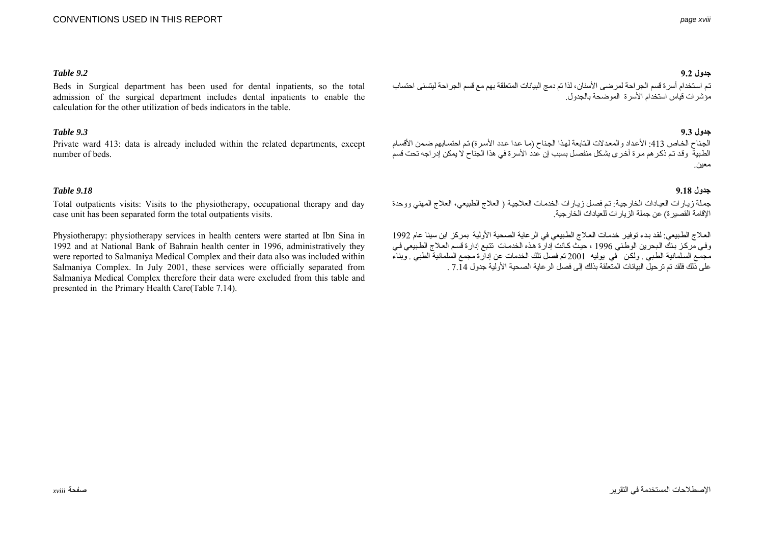### **جدول 9.2** *9.2 Table*

Beds in Surgical department has been used for dental inpatients, so the total admission of the surgical department includes dental inpatients to enable the calculation for the other utilization of beds indicators in the table.

### **جدول 9.3** *9.3 Table*

Private ward 413: data is already included within the related departments, except number of beds.

### **جدول 9.18** *9.18 Table*

Total outpatients visits: Visits to the physiotherapy, occupational therapy and day case unit has been separated form the total outpatients visits.

Physiotherapy: physiotherapy services in health centers were started at Ibn Sina in 1992 and at National Bank of Bahrain health center in 1996, administratively they were reported to Salmaniya Medical Complex and their data also was included within Salmaniya Complex. In July 2001, these services were officially separated from Salmaniya Medical Complex therefore their data were excluded from this table and presented in the Primary Health Care(Table 7.14).

تم استخدام أسر ة قسم الجر احة لمر ضى الأسنان، لذا تم دمج البيانات المتعلقة بهم مع قسم الجر احة ليتسنى احتساب مؤشرات قياس استخدام الأسرة الموضحة بالجدول.

الجناح الخاص 413: الأعداد والمعدلات التابعة لهذا الجناح (ما عدا عدد الأسرة) تم احتسابهم ضمن الأقسام الفرد.<br>الطبيبة وقد تم ذكر هم مر ة أخرى بشكل منفصيل بسبب إن عدد الأسرة في هذا الجناح لا يمكن إدراجه تحت قسم معين.

جملة زيارات العيادات الخارجية: تم فصل زيارات الخدمات العلاجية ( العلاج الطبيعي، العلاج المهني ووحدة الإقامة القصيرة) عن جملة الزيارات للعيادات الخارجية.

العلاج الطبيعي: لقد بدء توفير. خدمات العلاج الطبيعي في الرعاية الصحية الأولية بمركز ابن سينا عام 1992 وفي مركز بنك البحرين الوطني 1996 ، حيث كانت إدارة هذه الخدمات تتبع إدارة قسم العلاج الطبيعي في مجمع السلمانية الطبي . ولكن في يوليه 2001 تم فصل تلك الخدمات عن إدارة مجمع السلمانية الطبي . وبناء على ذلك فلقد تم ترحيل البيانات المتعلقة بذلك إلى فصل الرعاية الصحية الأولية جدول 7.14 .